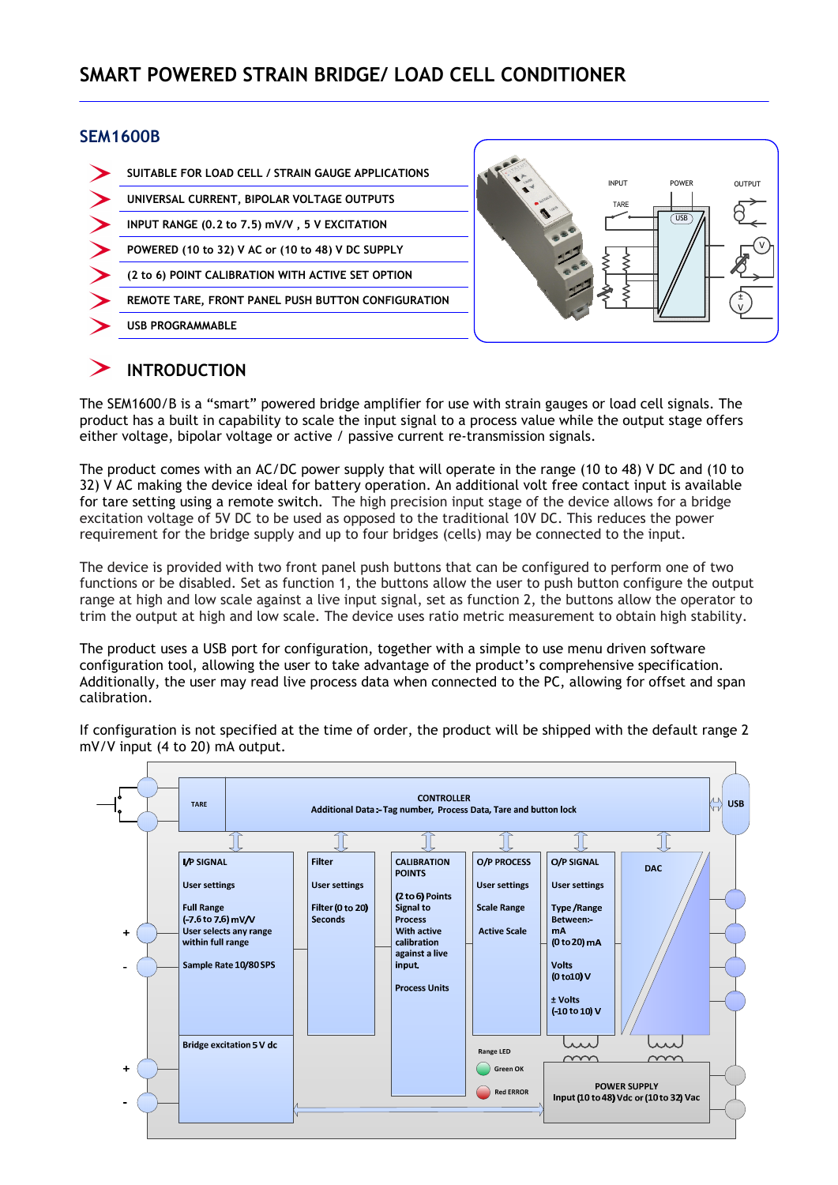#### SEM1600B



# INTRODUCTION

The SEM1600/B is a "smart" powered bridge amplifier for use with strain gauges or load cell signals. The product has a built in capability to scale the input signal to a process value while the output stage offers either voltage, bipolar voltage or active / passive current re-transmission signals.

The product comes with an AC/DC power supply that will operate in the range (10 to 48) V DC and (10 to 32) V AC making the device ideal for battery operation. An additional volt free contact input is available for tare setting using a remote switch. The high precision input stage of the device allows for a bridge excitation voltage of 5V DC to be used as opposed to the traditional 10V DC. This reduces the power requirement for the bridge supply and up to four bridges (cells) may be connected to the input.

The device is provided with two front panel push buttons that can be configured to perform one of two functions or be disabled. Set as function 1, the buttons allow the user to push button configure the output range at high and low scale against a live input signal, set as function 2, the buttons allow the operator to trim the output at high and low scale. The device uses ratio metric measurement to obtain high stability.

The product uses a USB port for configuration, together with a simple to use menu driven software configuration tool, allowing the user to take advantage of the product's comprehensive specification. Additionally, the user may read live process data when connected to the PC, allowing for offset and span calibration.

If configuration is not specified at the time of order, the product will be shipped with the default range 2 mV/V input (4 to 20) mA output.